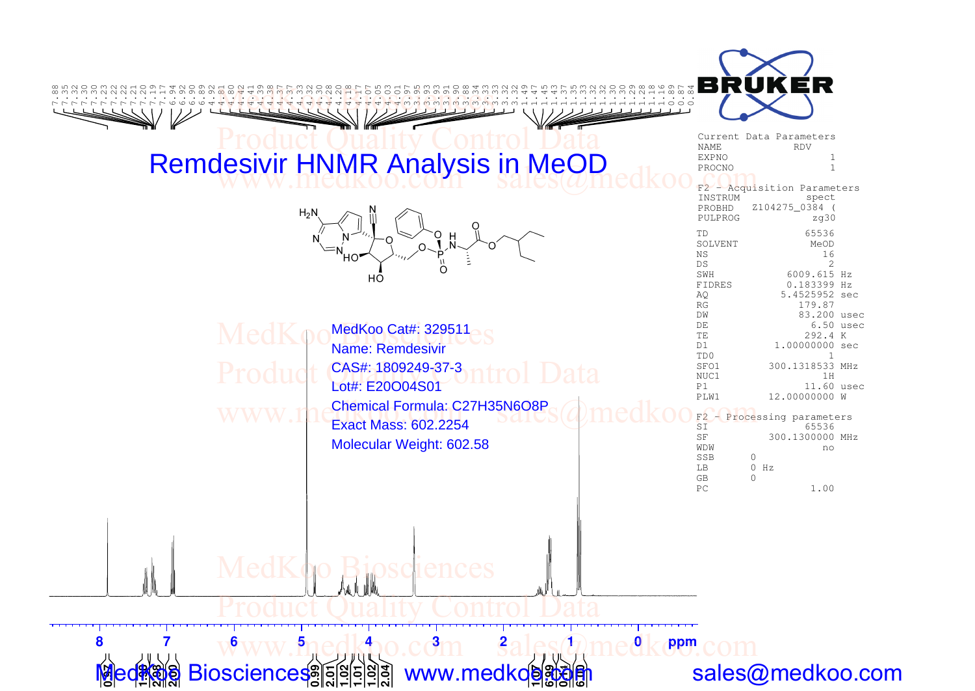

**0.1**

sales@medkoo.com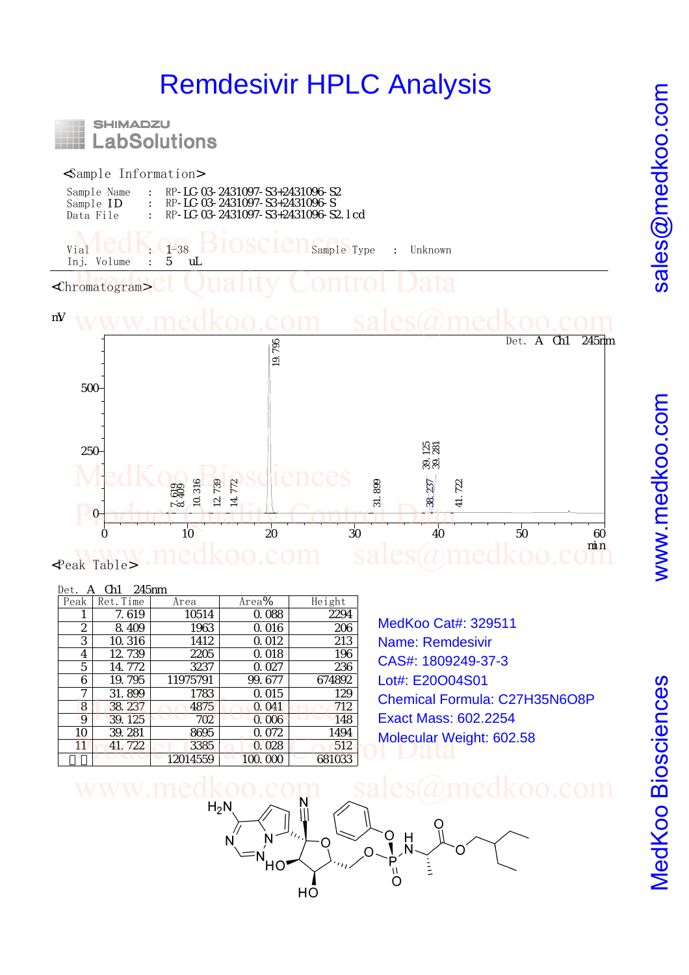## Remdesivir HPLC Analysis



## <Sample Information>

| Sample Name      | RP-LC-03-2431097-S3+2431096-S2     |
|------------------|------------------------------------|
| Sample <b>ID</b> | RP-LC-03-2431097-S3+2431096-S      |
| Data File        | RP-LC-03-2431097-S3+2431096-S2 Lcd |

 $Vial **CCIN. G-38** 310 SC1C1 sample Type : Unknown Inj. Volume : 5 ul.$ Inj. Volume : 5 uL

<Chromatogram> **Promatograms Ct Quality Control Data** 

## mV www.medkoo.com sales@medkoo.com



<Peak Table>

|                      | 245nm<br>Det. |                      |          |           |      |  |  |  |
|----------------------|---------------|----------------------|----------|-----------|------|--|--|--|
|                      | Height        | Area%                | Area     | Ret. Time | Peak |  |  |  |
|                      | 2294          | 0.088                | 10514    | 7.619     | 1    |  |  |  |
| MedKoo Cat#:         | 206           | Q 016                | 1963     | 8.409     | 2    |  |  |  |
| Name: Remde          | 213           | 0.012                | 1412     | 10.316    | 3    |  |  |  |
| CAS#: 180924         | 196           | 0.018                | 2205     | 12 739    | 4    |  |  |  |
|                      | 236           | $Q_{0}$ $O27$        | 3237     | 14. 772   | 5    |  |  |  |
| Lot#: E20O04         | 674892        | 99.677               | 11975791 | 19.795    | 6    |  |  |  |
| <b>Chemical Forr</b> | 129           | Q 015                | 1783     | 31.899    | 7    |  |  |  |
|                      | 712           | 0.041                | 4875     | 38, 237   | 8    |  |  |  |
| Exact Mass: 6        | 148           | 0.006                | 702      | 39.125    | 9    |  |  |  |
| <b>Molecular Wei</b> | 1494          | 0.072                | 8695     | 39.281    | 10   |  |  |  |
|                      | 512           | 0.028                | 3385     | 41.722    | 11   |  |  |  |
|                      | 681033        | $\infty$<br>$\alpha$ | 12014559 |           |      |  |  |  |

MedKoo Cat#: 329511 Name: Remdesivir CAS#: 1809249-37-3 Lot#: E20O04S01 Chemical Formula: C27H35N6O8P Exact Mass: 602.2254 Molecular Weight: 602.58